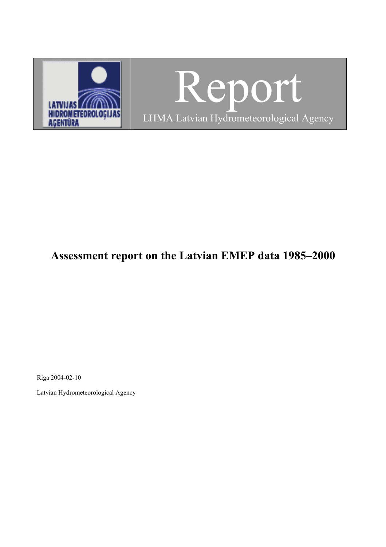

Report LHMA Latvian Hydrometeorological Agency

# **Assessment report on the Latvian EMEP data 1985–2000**

Riga 2004-02-10

Latvian Hydrometeorological Agency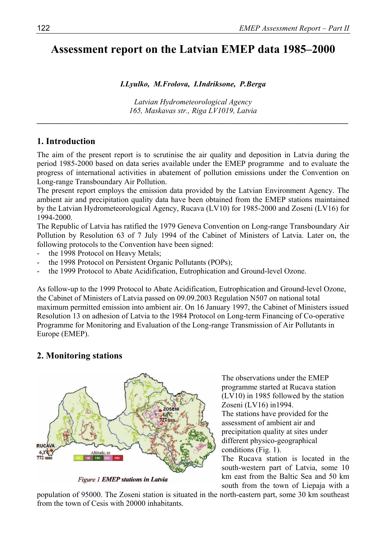# **Assessment report on the Latvian EMEP data 1985–2000**

#### *I.Lyulko, M.Frolova, I.Indriksone, P.Berga*

*Latvian Hydrometeorological Agency 165, Maskavas str., Riga LV1019, Latvia* 

*\_\_\_\_\_\_\_\_\_\_\_\_\_\_\_\_\_\_\_\_\_\_\_\_\_\_\_\_\_\_\_\_\_\_\_\_\_\_\_\_\_\_\_\_\_\_\_\_\_\_\_\_\_\_\_\_\_\_\_\_\_\_\_\_\_\_\_\_\_\_\_\_\_\_\_\_\_\_\_\_* 

### **1. Introduction**

The aim of the present report is to scrutinise the air quality and deposition in Latvia during the period 1985-2000 based on data series available under the EMEP programme and to evaluate the progress of international activities in abatement of pollution emissions under the Convention on Long-range Transboundary Air Pollution.

The present report employs the emission data provided by the Latvian Environment Agency. The ambient air and precipitation quality data have been obtained from the EMEP stations maintained by the Latvian Hydrometeorological Agency, Rucava (LV10) for 1985-2000 and Zoseni (LV16) for 1994-2000.

The Republic of Latvia has ratified the 1979 Geneva Convention on Long-range Transboundary Air Pollution by Resolution 63 of 7 July 1994 of the Cabinet of Ministers of Latvia. Later on, the following protocols to the Convention have been signed:

- the 1998 Protocol on Heavy Metals;
- the 1998 Protocol on Persistent Organic Pollutants (POPs);
- the 1999 Protocol to Abate Acidification, Eutrophication and Ground-level Ozone.

As follow-up to the 1999 Protocol to Abate Acidification, Eutrophication and Ground-level Ozone, the Cabinet of Ministers of Latvia passed on 09.09.2003 Regulation N507 on national total maximum permitted emission into ambient air. On 16 January 1997, the Cabinet of Ministers issued Resolution 13 on adhesion of Latvia to the 1984 Protocol on Long-term Financing of Co-operative Programme for Monitoring and Evaluation of the Long-range Transmission of Air Pollutants in Europe (EMEP).

# **2. Monitoring stations**



**Figure 1 EMEP stations in Latvia** 

The observations under the EMEP programme started at Rucava station (LV10) in 1985 followed by the station Zoseni (LV16) in1994. The stations have provided for the

assessment of ambient air and precipitation quality at sites under different physico-geographical conditions (Fig. 1).

The Rucava station is located in the south-western part of Latvia, some 10 km east from the Baltic Sea and 50 km south from the town of Liepaja with a

population of 95000. The Zoseni station is situated in the north-eastern part, some 30 km southeast from the town of Cesis with 20000 inhabitants.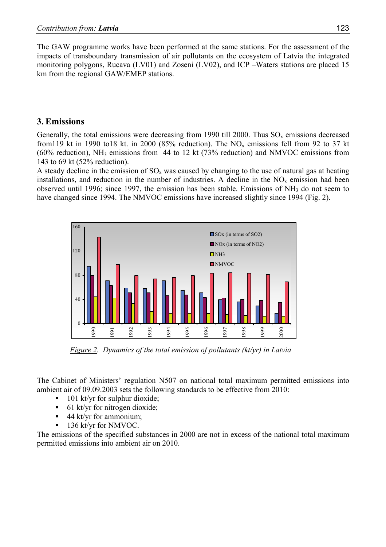The GAW programme works have been performed at the same stations. For the assessment of the impacts of transboundary transmission of air pollutants on the ecosystem of Latvia the integrated monitoring polygons, Rucava (LV01) and Zoseni (LV02), and ICP –Waters stations are placed 15 km from the regional GAW/EMEP stations.

# **3. Emissions**

Generally, the total emissions were decreasing from 1990 till 2000. Thus  $SO_x$  emissions decreased from119 kt in 1990 to18 kt. in 2000 (85% reduction). The  $NO<sub>x</sub>$  emissions fell from 92 to 37 kt  $(60\% \text{ reduction})$ , NH<sub>3</sub> emissions from 44 to 12 kt  $(73\% \text{ reduction})$  and NMVOC emissions from 143 to 69 kt (52% reduction).

A steady decline in the emission of  $SO_x$  was caused by changing to the use of natural gas at heating installations, and reduction in the number of industries. A decline in the  $NO<sub>x</sub>$  emission had been observed until 1996; since 1997, the emission has been stable. Emissions of NH3 do not seem to have changed since 1994. The NMVOC emissions have increased slightly since 1994 (Fig. 2).



 *Figure 2. Dynamics of the total emission of pollutants (kt/yr) in Latvia* 

The Cabinet of Ministers' regulation N507 on national total maximum permitted emissions into ambient air of 09.09.2003 sets the following standards to be effective from 2010:

- $\blacksquare$  101 kt/yr for sulphur dioxide;
- 61 kt/yr for nitrogen dioxide;
- $\blacksquare$  44 kt/yr for ammonium;
- 136 kt/yr for NMVOC.

The emissions of the specified substances in 2000 are not in excess of the national total maximum permitted emissions into ambient air on 2010.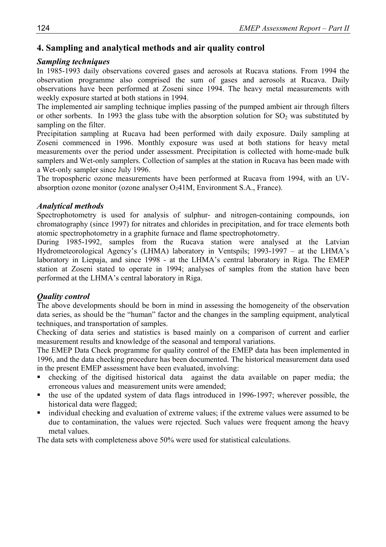# **4. Sampling and analytical methods and air quality control**

# *Sampling techniques*

In 1985-1993 daily observations covered gases and aerosols at Rucava stations. From 1994 the observation programme also comprised the sum of gases and aerosols at Rucava. Daily observations have been performed at Zoseni since 1994. The heavy metal measurements with weekly exposure started at both stations in 1994.

The implemented air sampling technique implies passing of the pumped ambient air through filters or other sorbents. In 1993 the glass tube with the absorption solution for  $SO<sub>2</sub>$  was substituted by sampling on the filter.

Precipitation sampling at Rucava had been performed with daily exposure. Daily sampling at Zoseni commenced in 1996. Monthly exposure was used at both stations for heavy metal measurements over the period under assessment. Precipitation is collected with home-made bulk samplers and Wet-only samplers. Collection of samples at the station in Rucava has been made with a Wet-only sampler since July 1996.

The tropospheric ozone measurements have been performed at Rucava from 1994, with an UVabsorption ozone monitor (ozone analyser  $O<sub>3</sub>41M$ , Environment S.A., France).

### *Analytical methods*

Spectrophotometry is used for analysis of sulphur- and nitrogen-containing compounds, ion chromatography (since 1997) for nitrates and chlorides in precipitation, and for trace elements both atomic spectrophotometry in a graphite furnace and flame spectrophotometry.

During 1985-1992, samples from the Rucava station were analysed at the Latvian Hydrometeorological Agency's (LHMA) laboratory in Ventspils; 1993-1997 – at the LHMA's laboratory in Liepaja, and since 1998 - at the LHMA's central laboratory in Riga. The EMEP station at Zoseni stated to operate in 1994; analyses of samples from the station have been performed at the LHMA's central laboratory in Riga.

# *Quality control*

The above developments should be born in mind in assessing the homogeneity of the observation data series, as should be the "human" factor and the changes in the sampling equipment, analytical techniques, and transportation of samples.

Checking of data series and statistics is based mainly on a comparison of current and earlier measurement results and knowledge of the seasonal and temporal variations.

The EMEP Data Check programme for quality control of the EMEP data has been implemented in 1996, and the data checking procedure has been documented. The historical measurement data used in the present EMEP assessment have been evaluated, involving:

- checking of the digitised historical data against the data available on paper media; the erroneous values and measurement units were amended;
- the use of the updated system of data flags introduced in 1996-1997; wherever possible, the historical data were flagged;
- individual checking and evaluation of extreme values; if the extreme values were assumed to be due to contamination, the values were rejected. Such values were frequent among the heavy metal values.

The data sets with completeness above 50% were used for statistical calculations.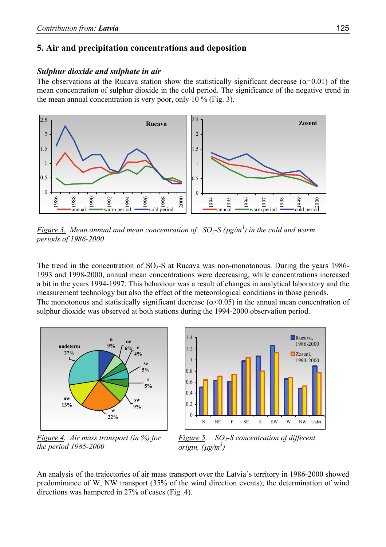# **5. Air and precipitation concentrations and deposition**

#### *Sulphur dioxide and sulphate in air*

The observations at the Rucava station show the statistically significant decrease ( $\alpha$ =0.01) of the mean concentration of sulphur dioxide in the cold period. The significance of the negative trend in the mean annual concentration is very poor, only 10 % (Fig. 3).



*Figure 3.* Mean annual and mean concentration of  $SO_2$ -S ( $\mu$ g/m<sup>3</sup>) in the cold and warm *periods of 1986-2000*

The trend in the concentration of  $SO_2$ -S at Rucava was non-monotonous. During the years 1986-1993 and 1998-2000, annual mean concentrations were decreasing, while concentrations increased a bit in the years 1994-1997. This behaviour was a result of changes in analytical laboratory and the measurement technology but also the effect of the meteorological conditions in those periods. The monotonous and statistically significant decrease ( $\alpha$ <0.05) in the annual mean concentration of sulphur dioxide was observed at both stations during the 1994-2000 observation period.







*Figure 5. SO2-S concentration of different origin, (*µ*g/m3 )* 

An analysis of the trajectories of air mass transport over the Latvia's territory in 1986-2000 showed predominance of W, NW transport (35% of the wind direction events); the determination of wind directions was hampered in 27% of cases (Fig .4).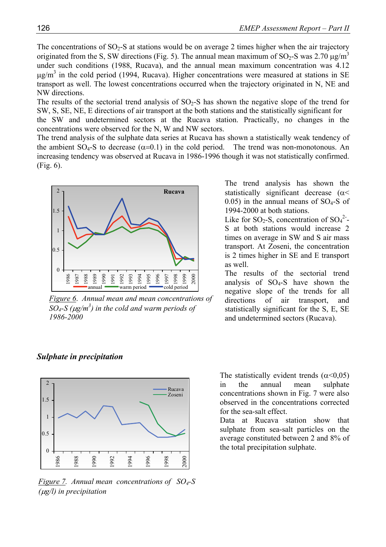The concentrations of  $SO_2$ -S at stations would be on average 2 times higher when the air trajectory originated from the S, SW directions (Fig. 5). The annual mean maximum of  $SO_2$ -S was 2.70  $\mu$ g/m<sup>3</sup> under such conditions (1988, Rucava), and the annual mean maximum concentration was 4.12  $\mu$ g/m<sup>3</sup> in the cold period (1994, Rucava). Higher concentrations were measured at stations in SE transport as well. The lowest concentrations occurred when the trajectory originated in N, NE and NW directions.

The results of the sectorial trend analysis of  $SO<sub>2</sub>-S$  has shown the negative slope of the trend for SW, S, SE, NE, E directions of air transport at the both stations and the statistically significant for

the SW and undetermined sectors at the Rucava station. Practically, no changes in the concentrations were observed for the N, W and NW sectors.

The trend analysis of the sulphate data series at Rucava has shown a statistically weak tendency of the ambient SO<sub>4</sub>-S to decrease  $(\alpha=0.1)$  in the cold period. The trend was non-monotonous. An increasing tendency was observed at Rucava in 1986-1996 though it was not statistically confirmed. (Fig. 6).



*Figure 6*. *Annual mean and mean concentrations of SO4-S (*µ*g/m3 ) in the cold and warm periods of 1986-2000*

The trend analysis has shown the statistically significant decrease  $(\alpha <$  $0.05$ ) in the annual means of SO<sub>4</sub>-S of 1994-2000 at both stations.

Like for SO<sub>2</sub>-S, concentration of  $SO_4^2$ -S at both stations would increase 2 times on average in SW and S air mass transport. At Zoseni, the concentration is 2 times higher in SE and E transport as well.

The results of the sectorial trend analysis of  $SO<sub>4</sub>-S$  have shown the negative slope of the trends for all directions of air transport, and statistically significant for the S, E, SE and undetermined sectors (Rucava).



#### *Sulphate in precipitation*

*Figure 7. Annual mean concentrations of SO4-S (*µ*g/l) in precipitation* 

The statistically evident trends  $(\alpha < 0.05)$ in the annual mean sulphate concentrations shown in Fig. 7 were also observed in the concentrations corrected for the sea-salt effect.

Data at Rucava station show that sulphate from sea-salt particles on the average constituted between 2 and 8% of the total precipitation sulphate.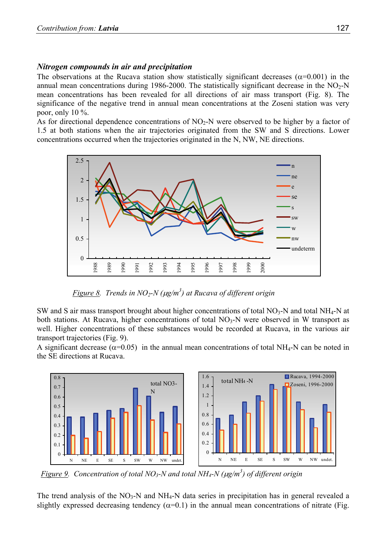#### *Nitrogen compounds in air and precipitation*

The observations at the Rucava station show statistically significant decreases ( $\alpha$ =0.001) in the annual mean concentrations during 1986-2000. The statistically significant decrease in the  $NO<sub>2</sub>-N$ mean concentrations has been revealed for all directions of air mass transport (Fig. 8). The significance of the negative trend in annual mean concentrations at the Zoseni station was very poor, only  $10\%$ .

As for directional dependence concentrations of  $NO<sub>2</sub>-N$  were observed to be higher by a factor of 1.5 at both stations when the air trajectories originated from the SW and S directions. Lower concentrations occurred when the trajectories originated in the N, NW, NE directions.



 *Figure 8. Trends in NO2-N (*µ*g/m3 ) at Rucava of different origin* 

SW and S air mass transport brought about higher concentrations of total  $NO<sub>3</sub>-N$  and total NH<sub>4</sub>-N at both stations. At Rucava, higher concentrations of total  $NO<sub>3</sub>-N$  were observed in W transport as well. Higher concentrations of these substances would be recorded at Rucava, in the various air transport trajectories (Fig. 9).

A significant decrease ( $\alpha$ =0.05) in the annual mean concentrations of total NH<sub>4</sub>-N can be noted in the SE directions at Rucava.



*Figure 9. Concentration of total NO3-N and total NH4-N (*µ*g/m3 ) of different origin* 

The trend analysis of the  $NO<sub>3</sub>-N$  and  $NH<sub>4</sub>-N$  data series in precipitation has in general revealed a slightly expressed decreasing tendency  $(\alpha=0.1)$  in the annual mean concentrations of nitrate (Fig.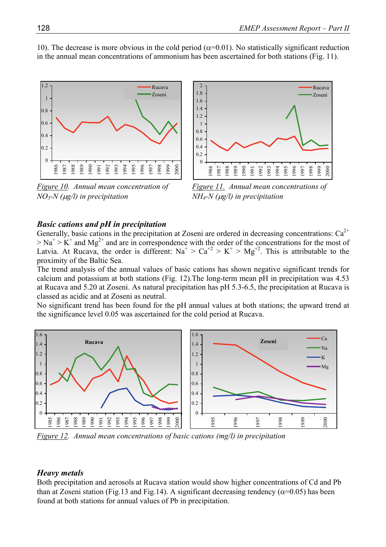

10). The decrease is more obvious in the cold period ( $\alpha$ =0.01). No statistically significant reduction in the annual mean concentrations of ammonium has been ascertained for both stations (Fig. 11).

*Figure 10. Annual mean concentration of NO3-N (*µ*g/l) in precipitation*



*Figure 11. Annual mean concentrations of NH4-N (*µ*g/l) in precipitation* 

#### *Basic cations and pH in precipitation*

Generally, basic cations in the precipitation at Zoseni are ordered in decreasing concentrations:  $Ca^{2+}$  $> Na<sup>+</sup> > K<sup>+</sup>$  and Mg<sup>2+</sup> and are in correspondence with the order of the concentrations for the most of Latvia. At Rucava, the order is different:  $Na^+ > Ca^{+2} > K^+ > Mg^{+2}$ . This is attributable to the proximity of the Baltic Sea.

The trend analysis of the annual values of basic cations has shown negative significant trends for calcium and potassium at both stations (Fig. 12).The long-term mean pH in precipitation was 4.53 at Rucava and 5.20 at Zoseni. As natural precipitation has pH 5.3-6.5, the precipitation at Rucava is classed as acidic and at Zoseni as neutral.

No significant trend has been found for the pH annual values at both stations; the upward trend at the significance level 0.05 was ascertained for the cold period at Rucava.



*Figure 12. Annual mean concentrations of basic cations (mg/l) in precipitation* 

#### *Heavy metals*

Both precipitation and aerosols at Rucava station would show higher concentrations of Cd and Pb than at Zoseni station (Fig.13 and Fig.14). A significant decreasing tendency ( $\alpha$ =0.05) has been found at both stations for annual values of Pb in precipitation.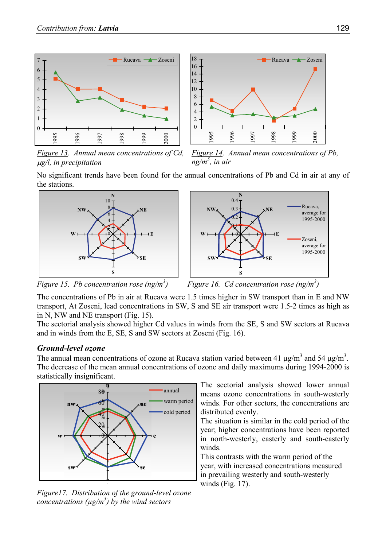

*Figure 13. Annual mean concentrations of Cd,*  <sup>µ</sup>*g/l, in precipitation* 



No significant trends have been found for the annual concentrations of Pb and Cd in air at any of the stations.





*Figure 15. Pb concentration rose (ng/m3*



The concentrations of Pb in air at Rucava were 1.5 times higher in SW transport than in E and NW transport, At Zoseni, lead concentrations in SW, S and SE air transport were 1.5-2 times as high as in N, NW and NE transport (Fig. 15).

The sectorial analysis showed higher Cd values in winds from the SE, S and SW sectors at Rucava and in winds from the E, SE, S and SW sectors at Zoseni (Fig. 16).

#### *Ground-level ozone*

The annual mean concentrations of ozone at Rucava station varied between 41  $\mu$ g/m<sup>3</sup> and 54  $\mu$ g/m<sup>3</sup>. The decrease of the mean annual concentrations of ozone and daily maximums during 1994-2000 is statistically insignificant.



*Figure17. Distribution of the ground-level ozone concentrations (µg/m3 ) by the wind sectors*

The sectorial analysis showed lower annual means ozone concentrations in south-westerly winds. For other sectors, the concentrations are distributed evenly.

The situation is similar in the cold period of the year; higher concentrations have been reported in north-westerly, easterly and south-easterly winds.

This contrasts with the warm period of the year, with increased concentrations measured in prevailing westerly and south-westerly winds (Fig. 17).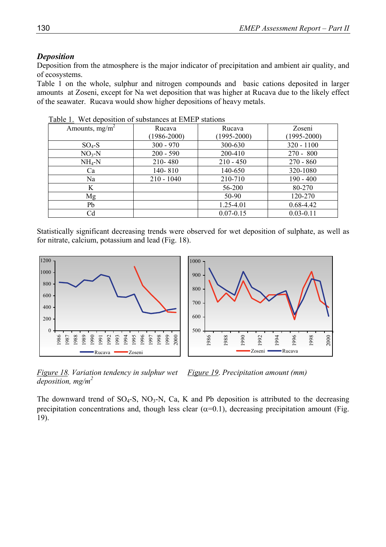#### *Deposition*

Deposition from the atmosphere is the major indicator of precipitation and ambient air quality, and of ecosystems.

Table 1 on the whole, sulphur and nitrogen compounds and basic cations deposited in larger amounts at Zoseni, except for Na wet deposition that was higher at Rucava due to the likely effect of the seawater. Rucava would show higher depositions of heavy metals.

| Amounts, $mg/m^2$ | Rucava          | Rucava          | Zoseni          |
|-------------------|-----------------|-----------------|-----------------|
|                   | $(1986 - 2000)$ | $(1995 - 2000)$ | $(1995 - 2000)$ |
| $SO_4$ -S         | $300 - 970$     | 300-630         | $320 - 1100$    |
| $NO3-N$           | $200 - 590$     | 200-410         | $270 - 800$     |
| $NH_4-N$          | 210-480         | $210 - 450$     | $270 - 860$     |
| Ca                | 140-810         | 140-650         | 320-1080        |
| Na                | $210 - 1040$    | 210-710         | $190 - 400$     |
| K                 |                 | 56-200          | 80-270          |
| Mg                |                 | 50-90           | 120-270         |
| Pb                |                 | 1.25-4.01       | $0.68 - 4.42$   |
| Cd                |                 | $0.07 - 0.15$   | $0.03 - 0.11$   |

Table 1. Wet deposition of substances at EMEP stations

Statistically significant decreasing trends were observed for wet deposition of sulphate, as well as for nitrate, calcium, potassium and lead (Fig. 18).



*Figure 18. Variation tendency in sulphur wet deposition, mg/m2 Figure 19*. *Precipitation amount (mm)*

The downward trend of  $SO_4$ -S,  $NO_3$ -N, Ca, K and Pb deposition is attributed to the decreasing precipitation concentrations and, though less clear  $(\alpha=0.1)$ , decreasing precipitation amount (Fig. 19).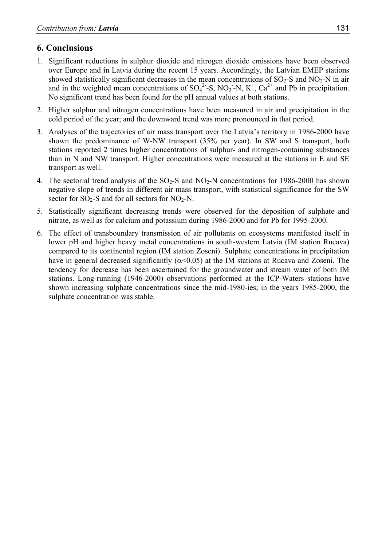# **6. Conclusions**

- 1. Significant reductions in sulphur dioxide and nitrogen dioxide emissions have been observed over Europe and in Latvia during the recent 15 years. Accordingly, the Latvian EMEP stations showed statistically significant decreases in the mean concentrations of  $SO_2$ -S and  $NO_2$ -N in air and in the weighted mean concentrations of  $SO_4^2$ -S, NO<sub>3</sub>-N, K<sup>+</sup>, Ca<sup>2+</sup> and Pb in precipitation. No significant trend has been found for the pH annual values at both stations.
- 2. Higher sulphur and nitrogen concentrations have been measured in air and precipitation in the cold period of the year; and the downward trend was more pronounced in that period.
- 3. Analyses of the trajectories of air mass transport over the Latvia's territory in 1986-2000 have shown the predominance of W-NW transport (35% per year). In SW and S transport, both stations reported 2 times higher concentrations of sulphur- and nitrogen-containing substances than in N and NW transport. Higher concentrations were measured at the stations in E and SE transport as well.
- 4. The sectorial trend analysis of the  $SO_2$ -S and  $NO_2$ -N concentrations for 1986-2000 has shown negative slope of trends in different air mass transport, with statistical significance for the SW sector for  $SO_2$ -S and for all sectors for  $NO_2$ -N.
- 5. Statistically significant decreasing trends were observed for the deposition of sulphate and nitrate, as well as for calcium and potassium during 1986-2000 and for Pb for 1995-2000.
- 6. The effect of transboundary transmission of air pollutants on ecosystems manifested itself in lower pH and higher heavy metal concentrations in south-western Latvia (IM station Rucava) compared to its continental region (IM station Zoseni). Sulphate concentrations in precipitation have in general decreased significantly ( $\alpha$ <0.05) at the IM stations at Rucava and Zoseni. The tendency for decrease has been ascertained for the groundwater and stream water of both IM stations. Long-running (1946-2000) observations performed at the ICP-Waters stations have shown increasing sulphate concentrations since the mid-1980-ies; in the years 1985-2000, the sulphate concentration was stable.